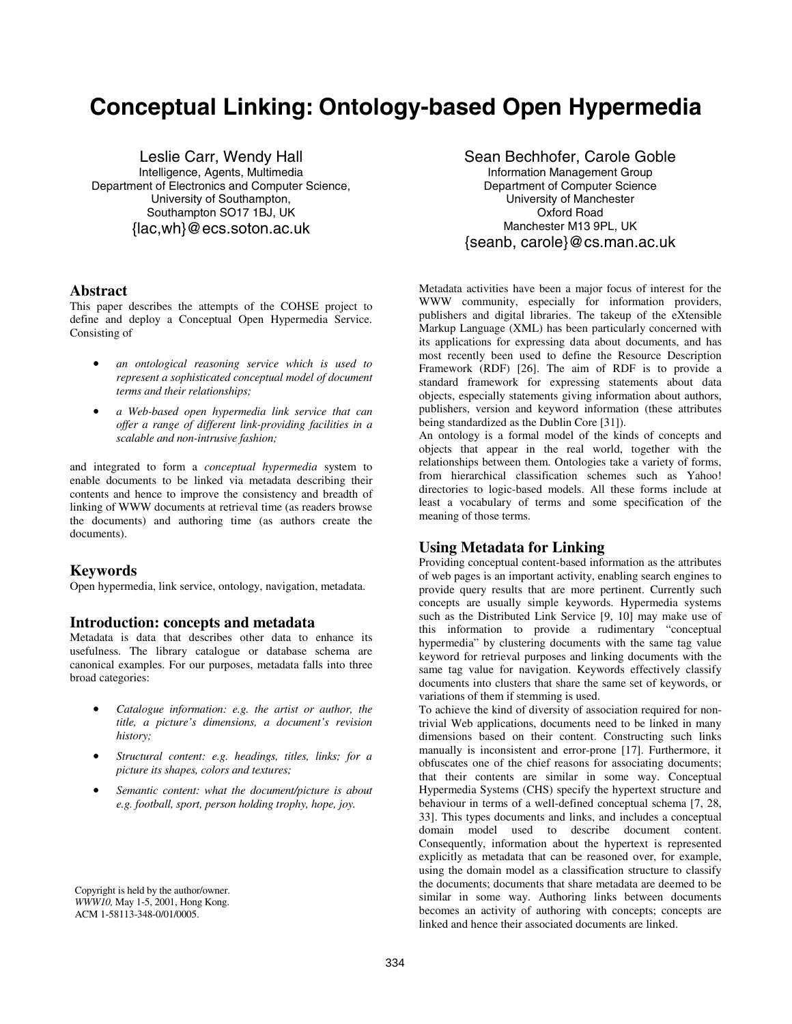# **Conceptual Linking: Ontology-based Open Hypermedia**

Leslie Carr, Wendy Hall Intelligence, Agents, Multimedia Department of Electronics and Computer Science, University of Southampton, Southampton SO17 1BJ, UK {lac,wh}@ecs.soton.ac.uk

# **Abstract**

This paper describes the attempts of the COHSE project to define and deploy a Conceptual Open Hypermedia Service. Consisting of

- *an ontological reasoning service which is used to represent a sophisticated conceptual model of document terms and their relationships;*
- *a Web-based open hypermedia link service that can offer a range of different link-providing facilities in a scalable and non-intrusive fashion;*

and integrated to form a *conceptual hypermedia* system to enable documents to be linked via metadata describing their contents and hence to improve the consistency and breadth of linking of WWW documents at retrieval time (as readers browse the documents) and authoring time (as authors create the documents).

#### **Keywords**

Open hypermedia, link service, ontology, navigation, metadata.

#### **Introduction: concepts and metadata**

Metadata is data that describes other data to enhance its usefulness. The library catalogue or database schema are canonical examples. For our purposes, metadata falls into three broad categories:

- *Catalogue information: e.g. the artist or author, the title, a picture's dimensions, a document's revision history;*
- *Structural content: e.g. headings, titles, links; for a picture its shapes, colors and textures;*
- *Semantic content: what the document/picture is about e.g. football, sport, person holding trophy, hope, joy.*

Copyright is held by the author/owner. *WWW10,* May 1-5, 2001, Hong Kong. ACM 1-58113-348-0/01/0005.

Sean Bechhofer, Carole Goble Information Management Group Department of Computer Science University of Manchester Oxford Road Manchester M13 9PL, UK {seanb, carole}@cs.man.ac.uk

Metadata activities have been a major focus of interest for the WWW community, especially for information providers, publishers and digital libraries. The takeup of the eXtensible Markup Language (XML) has been particularly concerned with its applications for expressing data about documents, and has most recently been used to define the Resource Description Framework (RDF) [26]. The aim of RDF is to provide a standard framework for expressing statements about data objects, especially statements giving information about authors, publishers, version and keyword information (these attributes being standardized as the Dublin Core [31]).

An ontology is a formal model of the kinds of concepts and objects that appear in the real world, together with the relationships between them. Ontologies take a variety of forms, from hierarchical classification schemes such as Yahoo! directories to logic-based models. All these forms include at least a vocabulary of terms and some specification of the meaning of those terms.

# **Using Metadata for Linking**

Providing conceptual content-based information as the attributes of web pages is an important activity, enabling search engines to provide query results that are more pertinent. Currently such concepts are usually simple keywords. Hypermedia systems such as the Distributed Link Service [9, 10] may make use of this information to provide a rudimentary "conceptual hypermedia" by clustering documents with the same tag value keyword for retrieval purposes and linking documents with the same tag value for navigation. Keywords effectively classify documents into clusters that share the same set of keywords, or variations of them if stemming is used.

To achieve the kind of diversity of association required for nontrivial Web applications, documents need to be linked in many dimensions based on their content. Constructing such links manually is inconsistent and error-prone [17]. Furthermore, it obfuscates one of the chief reasons for associating documents; that their contents are similar in some way. Conceptual Hypermedia Systems (CHS) specify the hypertext structure and behaviour in terms of a well-defined conceptual schema [7, 28, 33]. This types documents and links, and includes a conceptual domain model used to describe document content. Consequently, information about the hypertext is represented explicitly as metadata that can be reasoned over, for example, using the domain model as a classification structure to classify the documents; documents that share metadata are deemed to be similar in some way. Authoring links between documents becomes an activity of authoring with concepts; concepts are linked and hence their associated documents are linked.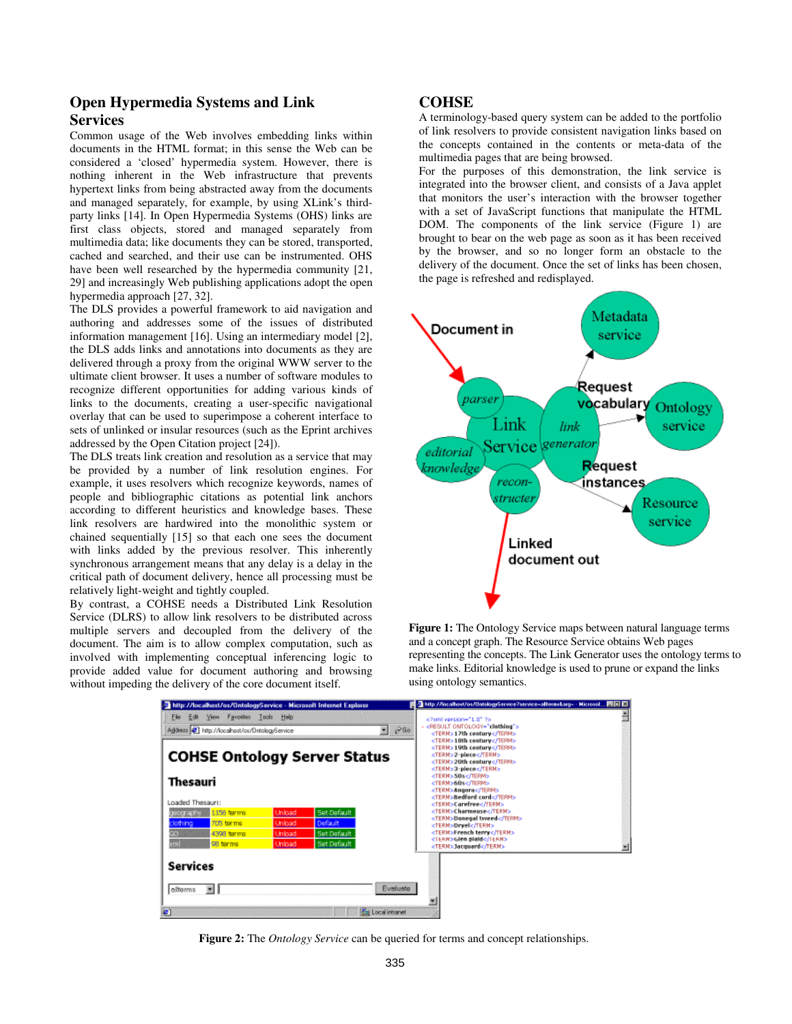# **Open Hypermedia Systems and Link Services**

Common usage of the Web involves embedding links within documents in the HTML format; in this sense the Web can be considered a 'closed' hypermedia system. However, there is nothing inherent in the Web infrastructure that prevents hypertext links from being abstracted away from the documents and managed separately, for example, by using XLink's thirdparty links [14]. In Open Hypermedia Systems (OHS) links are first class objects, stored and managed separately from multimedia data; like documents they can be stored, transported, cached and searched, and their use can be instrumented. OHS have been well researched by the hypermedia community [21, 29] and increasingly Web publishing applications adopt the open hypermedia approach [27, 32].

The DLS provides a powerful framework to aid navigation and authoring and addresses some of the issues of distributed information management [16]. Using an intermediary model [2], the DLS adds links and annotations into documents as they are delivered through a proxy from the original WWW server to the ultimate client browser. It uses a number of software modules to recognize different opportunities for adding various kinds of links to the documents, creating a user-specific navigational overlay that can be used to superimpose a coherent interface to sets of unlinked or insular resources (such as the Eprint archives addressed by the Open Citation project [24]).

The DLS treats link creation and resolution as a service that may be provided by a number of link resolution engines. For example, it uses resolvers which recognize keywords, names of people and bibliographic citations as potential link anchors according to different heuristics and knowledge bases. These link resolvers are hardwired into the monolithic system or chained sequentially [15] so that each one sees the document with links added by the previous resolver. This inherently synchronous arrangement means that any delay is a delay in the critical path of document delivery, hence all processing must be relatively light-weight and tightly coupled.

By contrast, a COHSE needs a Distributed Link Resolution Service (DLRS) to allow link resolvers to be distributed across multiple servers and decoupled from the delivery of the document. The aim is to allow complex computation, such as involved with implementing conceptual inferencing logic to provide added value for document authoring and browsing without impeding the delivery of the core document itself.

# **COHSE**

A terminology-based query system can be added to the portfolio of link resolvers to provide consistent navigation links based on the concepts contained in the contents or meta-data of the multimedia pages that are being browsed.

For the purposes of this demonstration, the link service is integrated into the browser client, and consists of a Java applet that monitors the user's interaction with the browser together with a set of JavaScript functions that manipulate the HTML DOM. The components of the link service (Figure 1) are brought to bear on the web page as soon as it has been received by the browser, and so no longer form an obstacle to the delivery of the document. Once the set of links has been chosen, the page is refreshed and redisplayed.



**Figure 1:** The Ontology Service maps between natural language terms and a concept graph. The Resource Service obtains Web pages representing the concepts. The Link Generator uses the ontology terms to make links. Editorial knowledge is used to prune or expand the links using ontology semantics.



**Figure 2:** The *Ontology Service* can be queried for terms and concept relationships.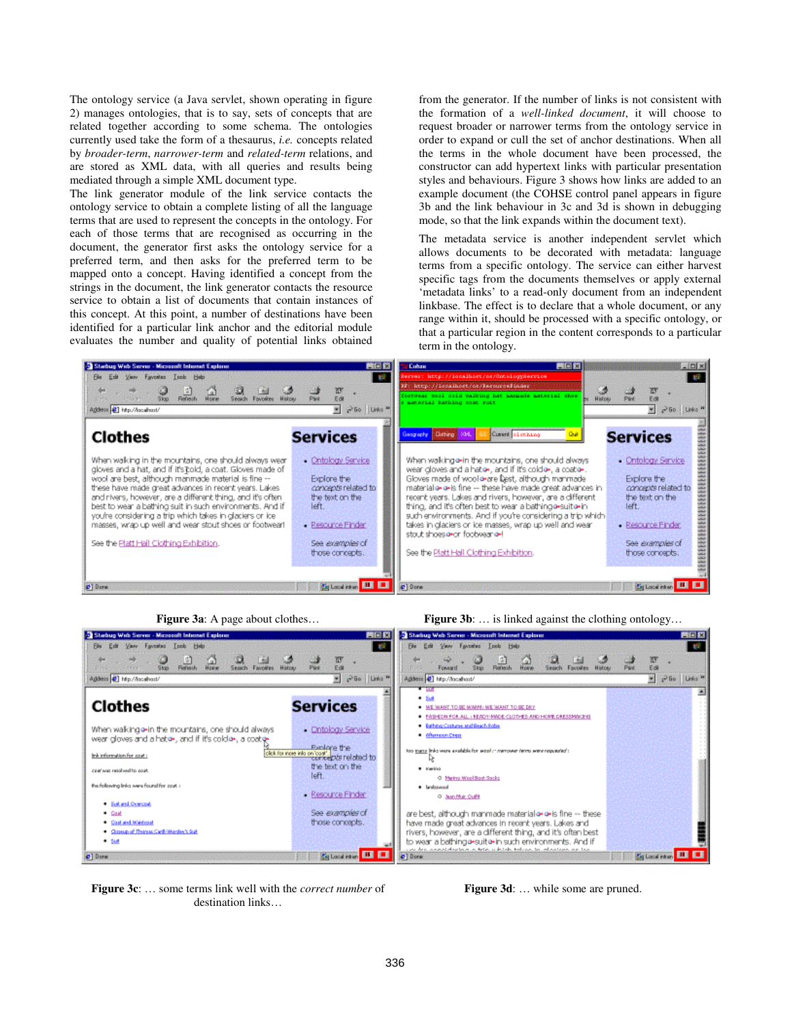The ontology service (a Java servlet, shown operating in figure 2) manages ontologies, that is to say, sets of concepts that are related together according to some schema. The ontologies currently used take the form of a thesaurus, *i.e.* concepts related by *broader-term*, *narrower-term* and *related-term* relations, and are stored as XML data, with all queries and results being mediated through a simple XML document type.

The link generator module of the link service contacts the ontology service to obtain a complete listing of all the language terms that are used to represent the concepts in the ontology. For each of those terms that are recognised as occurring in the document, the generator first asks the ontology service for a preferred term, and then asks for the preferred term to be mapped onto a concept. Having identified a concept from the strings in the document, the link generator contacts the resource service to obtain a list of documents that contain instances of this concept. At this point, a number of destinations have been identified for a particular link anchor and the editorial module evaluates the number and quality of potential links obtained

from the generator. If the number of links is not consistent with the formation of a *well-linked document*, it will choose to request broader or narrower terms from the ontology service in order to expand or cull the set of anchor destinations. When all the terms in the whole document have been processed, the constructor can add hypertext links with particular presentation styles and behaviours. Figure 3 shows how links are added to an example document (the COHSE control panel appears in figure 3b and the link behaviour in 3c and 3d is shown in debugging mode, so that the link expands within the document text).

The metadata service is another independent servlet which allows documents to be decorated with metadata: language terms from a specific ontology. The service can either harvest specific tags from the documents themselves or apply external 'metadata links' to a read-only document from an independent linkbase. The effect is to declare that a whole document, or any range within it, should be processed with a specific ontology, or that a particular region in the content corresponds to a particular term in the ontology.



**Figure 3a**: A page about clothes… **Figure 3b**: … is linked against the clothing ontology…

| Stadug Wids Service - Microsoft Internet Explorer                                                           | 用回风                                                          | Stadiup Wids Service - Microcoolt Internet Explorer                                                                                                                                                                     | 無日数                            |
|-------------------------------------------------------------------------------------------------------------|--------------------------------------------------------------|-------------------------------------------------------------------------------------------------------------------------------------------------------------------------------------------------------------------------|--------------------------------|
| View Favoring Tools<br>Ede.<br><b>Hota</b><br>Film                                                          |                                                              | View Favoring Tools<br>Film.<br>Edit<br>Help                                                                                                                                                                            |                                |
| ø<br>G<br>ø<br>īα<br>m<br>Seach Favores<br><b>History</b><br>Hock<br>Stop<br><b>Home</b><br>Refleth         | 西日<br>Per                                                    | n<br>A<br>۰<br>Search Favories<br><b>History</b><br><b>Pirt</b><br>Stea<br><b>Home</b><br><b>Refleth</b><br>Foward                                                                                                      | π<br>Edit                      |
| Addetts @] http://localhost/                                                                                | P Go Links<br>×                                              | Addeus (2) http://localhost/                                                                                                                                                                                            | ×                              |
| Clothes                                                                                                     | <b>Services</b>                                              | $-88$<br>$+$ Suit<br>4 ME WANT TO BE WARN: WE WANT TO BE DKY.<br>. FASHION FOR ALL INEADY-WADE CLOTHES AND HOME DRESSMACE (E)                                                                                           | 츼                              |
| When walking o-in the mountains, one should always<br>wear gloves and a haber, and if it's colder, a coaber | Christology Service                                          | . Esthing Costume and Beach Robe<br>* Afternoon Dren                                                                                                                                                                    |                                |
| link information for post (                                                                                 | Explore the<br>click for more into on loose puts reliated to | too many links were evalidation wool in menouse ferms were reputation.                                                                                                                                                  |                                |
| coativas resolved to post.                                                                                  | the text on the<br>left.                                     | · meino<br>O Metho WoolBoot Socks                                                                                                                                                                                       |                                |
| the following links were found for cost. :                                                                  | - Resource Finder                                            | · brehoused<br>O Jam Mar Outfit                                                                                                                                                                                         |                                |
| · Eatural Crocook<br>$•$ Cost                                                                               | See examples of                                              | are best, although manmade material or oris fine -- these                                                                                                                                                               |                                |
| · Cost and Wakkoost                                                                                         | those concepts.                                              | have made great advances in recent years. Lakes and                                                                                                                                                                     |                                |
| Copyright Thomas Carll (Mondex's Sub<br>$+5.6$                                                              |                                                              | rivers, however, are a different thing, and it's often best<br>to waar a bathing a suit a in such environments. And if<br>a southern compositely settement on the form and batches the form of productions on an inter- |                                |
| $O$ ] Done                                                                                                  | <b>Cathood inten # # #</b>                                   | O'] Done                                                                                                                                                                                                                | <b>Call Collection III III</b> |

**Figure 3c**: … some terms link well with the *correct number* of destination links…

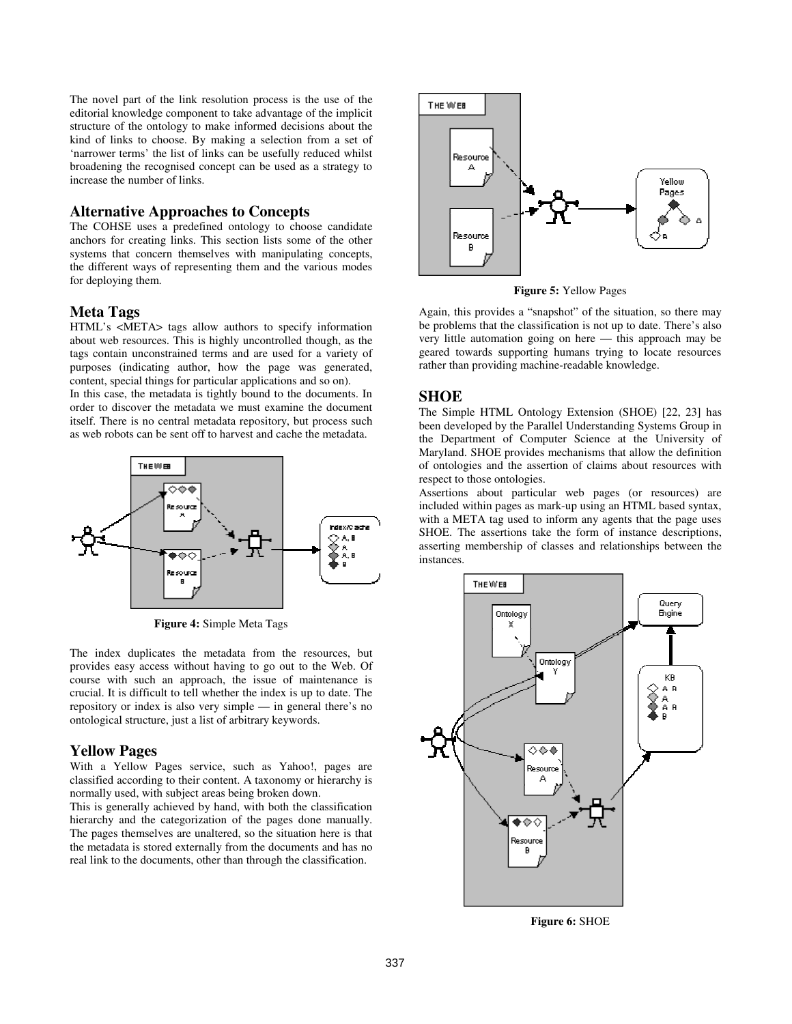The novel part of the link resolution process is the use of the editorial knowledge component to take advantage of the implicit structure of the ontology to make informed decisions about the kind of links to choose. By making a selection from a set of 'narrower terms' the list of links can be usefully reduced whilst broadening the recognised concept can be used as a strategy to increase the number of links.

## **Alternative Approaches to Concepts**

The COHSE uses a predefined ontology to choose candidate anchors for creating links. This section lists some of the other systems that concern themselves with manipulating concepts, the different ways of representing them and the various modes for deploying them.

## **Meta Tags**

HTML's <META> tags allow authors to specify information about web resources. This is highly uncontrolled though, as the tags contain unconstrained terms and are used for a variety of purposes (indicating author, how the page was generated, content, special things for particular applications and so on).

In this case, the metadata is tightly bound to the documents. In order to discover the metadata we must examine the document itself. There is no central metadata repository, but process such as web robots can be sent off to harvest and cache the metadata.



**Figure 4:** Simple Meta Tags

The index duplicates the metadata from the resources, but provides easy access without having to go out to the Web. Of course with such an approach, the issue of maintenance is crucial. It is difficult to tell whether the index is up to date. The repository or index is also very simple — in general there's no ontological structure, just a list of arbitrary keywords.

#### **Yellow Pages**

With a Yellow Pages service, such as Yahoo!, pages are classified according to their content. A taxonomy or hierarchy is normally used, with subject areas being broken down.

This is generally achieved by hand, with both the classification hierarchy and the categorization of the pages done manually. The pages themselves are unaltered, so the situation here is that the metadata is stored externally from the documents and has no real link to the documents, other than through the classification.



**Figure 5:** Yellow Pages

Again, this provides a "snapshot" of the situation, so there may be problems that the classification is not up to date. There's also very little automation going on here — this approach may be geared towards supporting humans trying to locate resources rather than providing machine-readable knowledge.

## **SHOE**

The Simple HTML Ontology Extension (SHOE) [22, 23] has been developed by the Parallel Understanding Systems Group in the Department of Computer Science at the University of Maryland. SHOE provides mechanisms that allow the definition of ontologies and the assertion of claims about resources with respect to those ontologies.

Assertions about particular web pages (or resources) are included within pages as mark-up using an HTML based syntax, with a META tag used to inform any agents that the page uses SHOE. The assertions take the form of instance descriptions, asserting membership of classes and relationships between the instances.



**Figure 6:** SHOE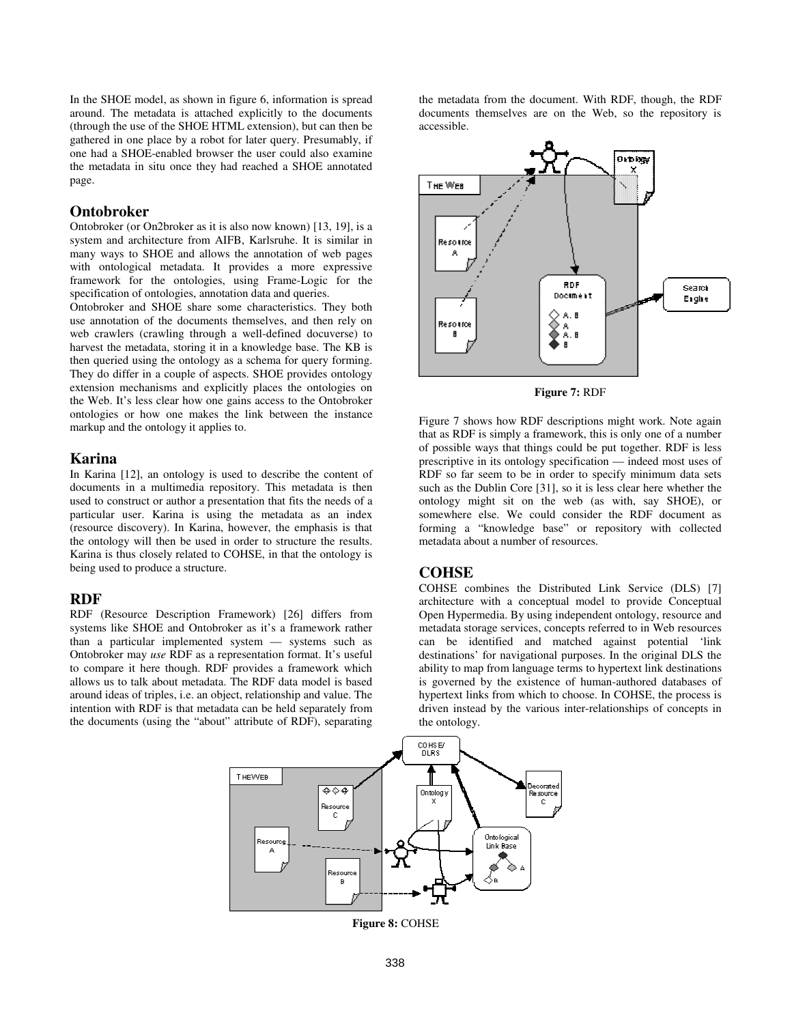In the SHOE model, as shown in figure 6, information is spread around. The metadata is attached explicitly to the documents (through the use of the SHOE HTML extension), but can then be gathered in one place by a robot for later query. Presumably, if one had a SHOE-enabled browser the user could also examine the metadata in situ once they had reached a SHOE annotated page.

#### **Ontobroker**

Ontobroker (or On2broker as it is also now known) [13, 19], is a system and architecture from AIFB, Karlsruhe. It is similar in many ways to SHOE and allows the annotation of web pages with ontological metadata. It provides a more expressive framework for the ontologies, using Frame-Logic for the specification of ontologies, annotation data and queries.

Ontobroker and SHOE share some characteristics. They both use annotation of the documents themselves, and then rely on web crawlers (crawling through a well-defined docuverse) to harvest the metadata, storing it in a knowledge base. The KB is then queried using the ontology as a schema for query forming. They do differ in a couple of aspects. SHOE provides ontology extension mechanisms and explicitly places the ontologies on the Web. It's less clear how one gains access to the Ontobroker ontologies or how one makes the link between the instance markup and the ontology it applies to.

#### **Karina**

In Karina [12], an ontology is used to describe the content of documents in a multimedia repository. This metadata is then used to construct or author a presentation that fits the needs of a particular user. Karina is using the metadata as an index (resource discovery). In Karina, however, the emphasis is that the ontology will then be used in order to structure the results. Karina is thus closely related to COHSE, in that the ontology is being used to produce a structure.

#### **RDF**

RDF (Resource Description Framework) [26] differs from systems like SHOE and Ontobroker as it's a framework rather than a particular implemented system — systems such as Ontobroker may *use* RDF as a representation format. It's useful to compare it here though. RDF provides a framework which allows us to talk about metadata. The RDF data model is based around ideas of triples, i.e. an object, relationship and value. The intention with RDF is that metadata can be held separately from the documents (using the "about" attribute of RDF), separating the metadata from the document. With RDF, though, the RDF documents themselves are on the Web, so the repository is accessible.



**Figure 7:** RDF

Figure 7 shows how RDF descriptions might work. Note again that as RDF is simply a framework, this is only one of a number of possible ways that things could be put together. RDF is less prescriptive in its ontology specification — indeed most uses of RDF so far seem to be in order to specify minimum data sets such as the Dublin Core [31], so it is less clear here whether the ontology might sit on the web (as with, say SHOE), or somewhere else. We could consider the RDF document as forming a "knowledge base" or repository with collected metadata about a number of resources.

#### **COHSE**

COHSE combines the Distributed Link Service (DLS) [7] architecture with a conceptual model to provide Conceptual Open Hypermedia. By using independent ontology, resource and metadata storage services, concepts referred to in Web resources can be identified and matched against potential 'link destinations' for navigational purposes. In the original DLS the ability to map from language terms to hypertext link destinations is governed by the existence of human-authored databases of hypertext links from which to choose. In COHSE, the process is driven instead by the various inter-relationships of concepts in the ontology.



**Figure 8:** COHSE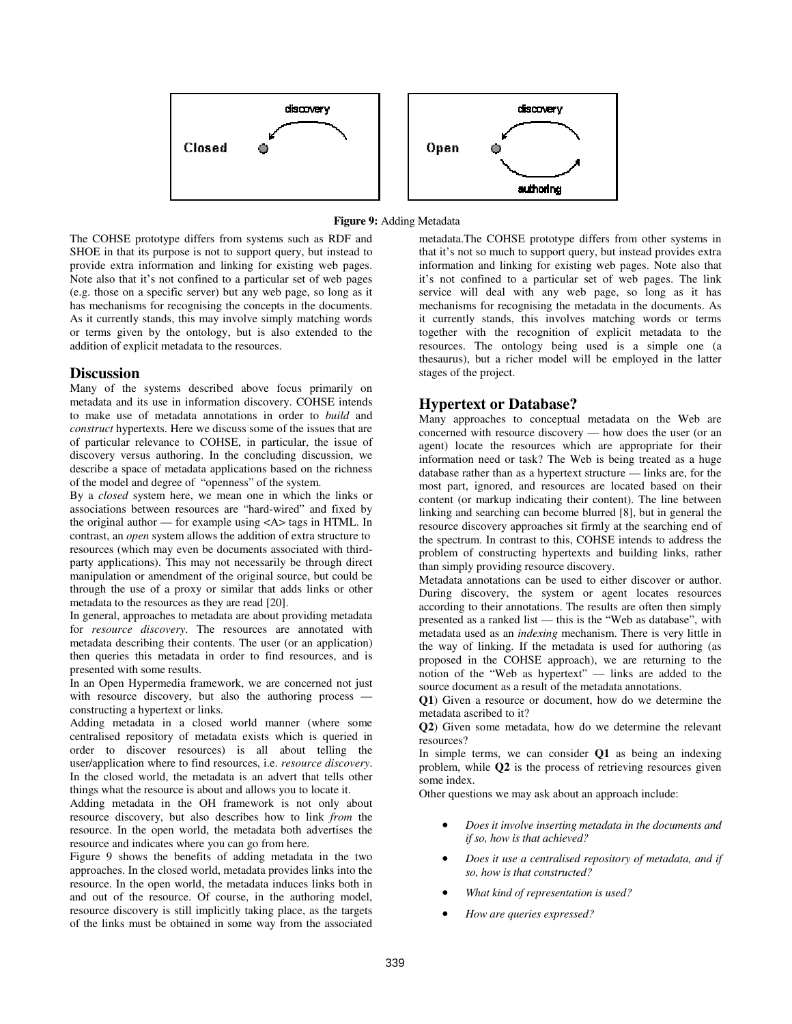

#### **Figure 9:** Adding Metadata

The COHSE prototype differs from systems such as RDF and SHOE in that its purpose is not to support query, but instead to provide extra information and linking for existing web pages. Note also that it's not confined to a particular set of web pages (e.g. those on a specific server) but any web page, so long as it has mechanisms for recognising the concepts in the documents. As it currently stands, this may involve simply matching words or terms given by the ontology, but is also extended to the addition of explicit metadata to the resources.

#### **Discussion**

Many of the systems described above focus primarily on metadata and its use in information discovery. COHSE intends to make use of metadata annotations in order to *build* and *construct* hypertexts. Here we discuss some of the issues that are of particular relevance to COHSE, in particular, the issue of discovery versus authoring. In the concluding discussion, we describe a space of metadata applications based on the richness of the model and degree of "openness" of the system.

By a *closed* system here, we mean one in which the links or associations between resources are "hard-wired" and fixed by the original author — for example using <A> tags in HTML. In contrast, an *open* system allows the addition of extra structure to resources (which may even be documents associated with thirdparty applications). This may not necessarily be through direct manipulation or amendment of the original source, but could be through the use of a proxy or similar that adds links or other metadata to the resources as they are read [20].

In general, approaches to metadata are about providing metadata for *resource discovery*. The resources are annotated with metadata describing their contents. The user (or an application) then queries this metadata in order to find resources, and is presented with some results.

In an Open Hypermedia framework, we are concerned not just with resource discovery, but also the authoring process constructing a hypertext or links.

Adding metadata in a closed world manner (where some centralised repository of metadata exists which is queried in order to discover resources) is all about telling the user/application where to find resources, i.e. *resource discovery*. In the closed world, the metadata is an advert that tells other things what the resource is about and allows you to locate it.

Adding metadata in the OH framework is not only about resource discovery, but also describes how to link *from* the resource. In the open world, the metadata both advertises the resource and indicates where you can go from here.

Figure 9 shows the benefits of adding metadata in the two approaches. In the closed world, metadata provides links into the resource. In the open world, the metadata induces links both in and out of the resource. Of course, in the authoring model, resource discovery is still implicitly taking place, as the targets of the links must be obtained in some way from the associated

metadata.The COHSE prototype differs from other systems in that it's not so much to support query, but instead provides extra information and linking for existing web pages. Note also that it's not confined to a particular set of web pages. The link service will deal with any web page, so long as it has mechanisms for recognising the metadata in the documents. As it currently stands, this involves matching words or terms together with the recognition of explicit metadata to the resources. The ontology being used is a simple one (a thesaurus), but a richer model will be employed in the latter stages of the project.

#### **Hypertext or Database?**

Many approaches to conceptual metadata on the Web are concerned with resource discovery — how does the user (or an agent) locate the resources which are appropriate for their information need or task? The Web is being treated as a huge database rather than as a hypertext structure — links are, for the most part, ignored, and resources are located based on their content (or markup indicating their content). The line between linking and searching can become blurred [8], but in general the resource discovery approaches sit firmly at the searching end of the spectrum. In contrast to this, COHSE intends to address the problem of constructing hypertexts and building links, rather than simply providing resource discovery.

Metadata annotations can be used to either discover or author. During discovery, the system or agent locates resources according to their annotations. The results are often then simply presented as a ranked list — this is the "Web as database", with metadata used as an *indexing* mechanism. There is very little in the way of linking. If the metadata is used for authoring (as proposed in the COHSE approach), we are returning to the notion of the "Web as hypertext" — links are added to the source document as a result of the metadata annotations.

**Q1**) Given a resource or document, how do we determine the metadata ascribed to it?

**Q2**) Given some metadata, how do we determine the relevant resources?

In simple terms, we can consider **Q1** as being an indexing problem, while **Q2** is the process of retrieving resources given some index.

Other questions we may ask about an approach include:

- *Does it involve inserting metadata in the documents and if so, how is that achieved?*
- *Does it use a centralised repository of metadata, and if so, how is that constructed?*
- *What kind of representation is used?*
- *How are queries expressed?*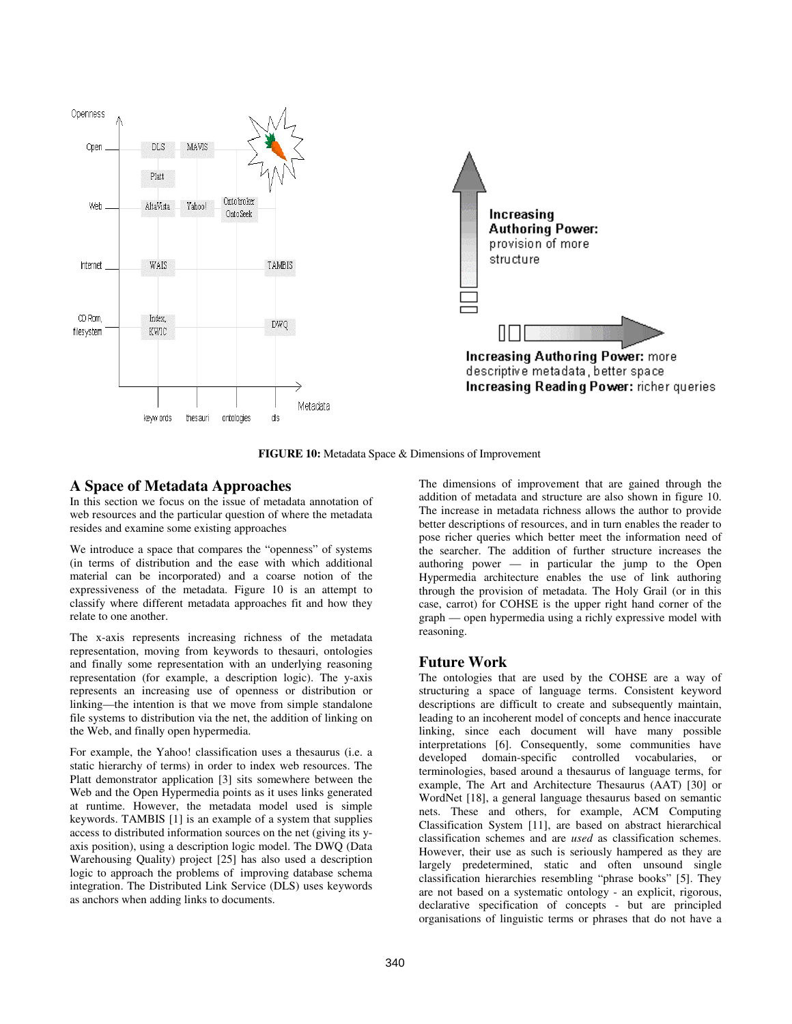

**FIGURE 10:** Metadata Space & Dimensions of Improvement

# **A Space of Metadata Approaches**

In this section we focus on the issue of metadata annotation of web resources and the particular question of where the metadata resides and examine some existing approaches

We introduce a space that compares the "openness" of systems (in terms of distribution and the ease with which additional material can be incorporated) and a coarse notion of the expressiveness of the metadata. Figure 10 is an attempt to classify where different metadata approaches fit and how they relate to one another.

The x-axis represents increasing richness of the metadata representation, moving from keywords to thesauri, ontologies and finally some representation with an underlying reasoning representation (for example, a description logic). The y-axis represents an increasing use of openness or distribution or linking—the intention is that we move from simple standalone file systems to distribution via the net, the addition of linking on the Web, and finally open hypermedia.

For example, the Yahoo! classification uses a thesaurus (i.e. a static hierarchy of terms) in order to index web resources. The Platt demonstrator application [3] sits somewhere between the Web and the Open Hypermedia points as it uses links generated at runtime. However, the metadata model used is simple keywords. TAMBIS [1] is an example of a system that supplies access to distributed information sources on the net (giving its yaxis position), using a description logic model. The DWQ (Data Warehousing Quality) project [25] has also used a description logic to approach the problems of improving database schema integration. The Distributed Link Service (DLS) uses keywords as anchors when adding links to documents.

The dimensions of improvement that are gained through the addition of metadata and structure are also shown in figure 10. The increase in metadata richness allows the author to provide better descriptions of resources, and in turn enables the reader to pose richer queries which better meet the information need of the searcher. The addition of further structure increases the authoring power — in particular the jump to the Open Hypermedia architecture enables the use of link authoring through the provision of metadata. The Holy Grail (or in this case, carrot) for COHSE is the upper right hand corner of the graph — open hypermedia using a richly expressive model with reasoning.

# **Future Work**

The ontologies that are used by the COHSE are a way of structuring a space of language terms. Consistent keyword descriptions are difficult to create and subsequently maintain, leading to an incoherent model of concepts and hence inaccurate linking, since each document will have many possible interpretations [6]. Consequently, some communities have developed domain-specific controlled vocabularies, or terminologies, based around a thesaurus of language terms, for example, The Art and Architecture Thesaurus (AAT) [30] or WordNet [18], a general language thesaurus based on semantic nets. These and others, for example, ACM Computing Classification System [11], are based on abstract hierarchical classification schemes and are *used* as classification schemes. However, their use as such is seriously hampered as they are largely predetermined, static and often unsound single classification hierarchies resembling "phrase books" [5]. They are not based on a systematic ontology - an explicit, rigorous, declarative specification of concepts - but are principled organisations of linguistic terms or phrases that do not have a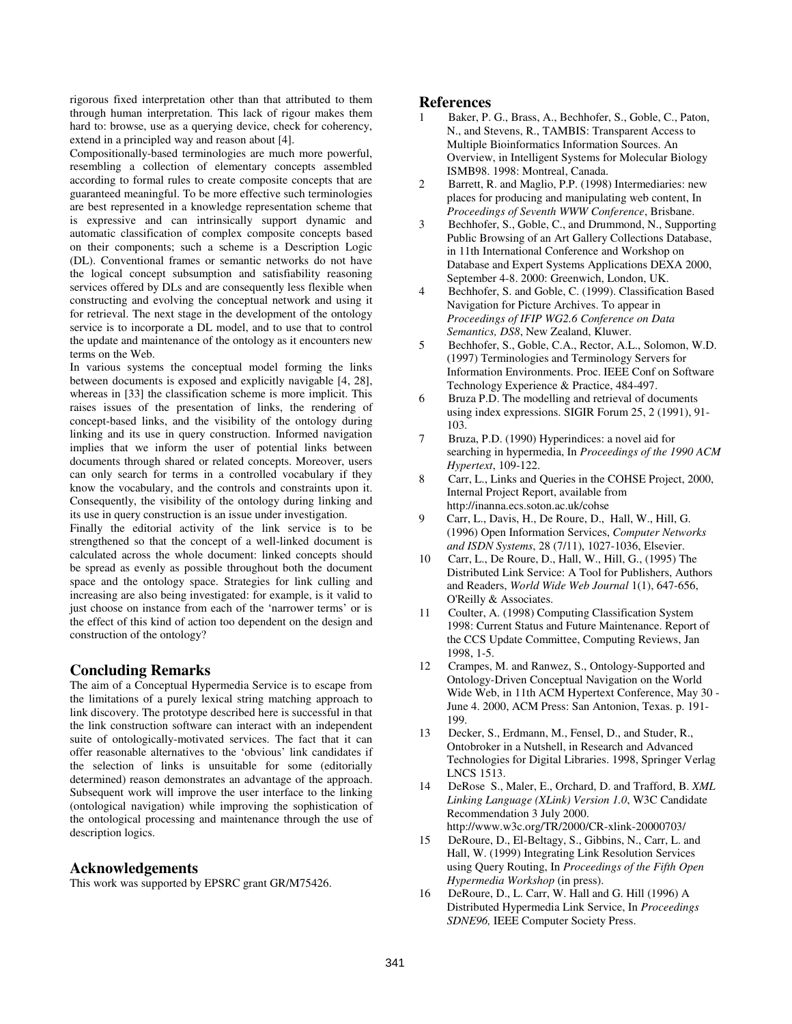rigorous fixed interpretation other than that attributed to them through human interpretation. This lack of rigour makes them hard to: browse, use as a querying device, check for coherency, extend in a principled way and reason about [4].

Compositionally-based terminologies are much more powerful, resembling a collection of elementary concepts assembled according to formal rules to create composite concepts that are guaranteed meaningful. To be more effective such terminologies are best represented in a knowledge representation scheme that is expressive and can intrinsically support dynamic and automatic classification of complex composite concepts based on their components; such a scheme is a Description Logic (DL). Conventional frames or semantic networks do not have the logical concept subsumption and satisfiability reasoning services offered by DLs and are consequently less flexible when constructing and evolving the conceptual network and using it for retrieval. The next stage in the development of the ontology service is to incorporate a DL model, and to use that to control the update and maintenance of the ontology as it encounters new terms on the Web.

In various systems the conceptual model forming the links between documents is exposed and explicitly navigable [4, 28], whereas in [33] the classification scheme is more implicit. This raises issues of the presentation of links, the rendering of concept-based links, and the visibility of the ontology during linking and its use in query construction. Informed navigation implies that we inform the user of potential links between documents through shared or related concepts. Moreover, users can only search for terms in a controlled vocabulary if they know the vocabulary, and the controls and constraints upon it. Consequently, the visibility of the ontology during linking and its use in query construction is an issue under investigation.

Finally the editorial activity of the link service is to be strengthened so that the concept of a well-linked document is calculated across the whole document: linked concepts should be spread as evenly as possible throughout both the document space and the ontology space. Strategies for link culling and increasing are also being investigated: for example, is it valid to just choose on instance from each of the 'narrower terms' or is the effect of this kind of action too dependent on the design and construction of the ontology?

# **Concluding Remarks**

The aim of a Conceptual Hypermedia Service is to escape from the limitations of a purely lexical string matching approach to link discovery. The prototype described here is successful in that the link construction software can interact with an independent suite of ontologically-motivated services. The fact that it can offer reasonable alternatives to the 'obvious' link candidates if the selection of links is unsuitable for some (editorially determined) reason demonstrates an advantage of the approach. Subsequent work will improve the user interface to the linking (ontological navigation) while improving the sophistication of the ontological processing and maintenance through the use of description logics.

# **Acknowledgements**

This work was supported by EPSRC grant GR/M75426.

#### **References**

- Baker, P. G., Brass, A., Bechhofer, S., Goble, C., Paton, N., and Stevens, R., TAMBIS: Transparent Access to Multiple Bioinformatics Information Sources. An Overview, in Intelligent Systems for Molecular Biology ISMB98. 1998: Montreal, Canada.
- 2 Barrett, R. and Maglio, P.P. (1998) Intermediaries: new places for producing and manipulating web content, In *Proceedings of Seventh WWW Conference*, Brisbane.
- 3 Bechhofer, S., Goble, C., and Drummond, N., Supporting Public Browsing of an Art Gallery Collections Database, in 11th International Conference and Workshop on Database and Expert Systems Applications DEXA 2000, September 4-8. 2000: Greenwich, London, UK.
- 4 Bechhofer, S. and Goble, C. (1999). Classification Based Navigation for Picture Archives. To appear in *Proceedings of IFIP WG2.6 Conference on Data Semantics, DS8*, New Zealand, Kluwer.
- 5 Bechhofer, S., Goble, C.A., Rector, A.L., Solomon, W.D. (1997) Terminologies and Terminology Servers for Information Environments. Proc. IEEE Conf on Software Technology Experience & Practice, 484-497.
- 6 Bruza P.D. The modelling and retrieval of documents using index expressions. SIGIR Forum 25, 2 (1991), 91- 103.
- 7 Bruza, P.D. (1990) Hyperindices: a novel aid for searching in hypermedia, In *Proceedings of the 1990 ACM Hypertext*, 109-122.
- 8 Carr, L., Links and Queries in the COHSE Project, 2000, Internal Project Report, available from http://inanna.ecs.soton.ac.uk/cohse
- 9 Carr, L., Davis, H., De Roure, D., Hall, W., Hill, G. (1996) Open Information Services, *Computer Networks and ISDN Systems*, 28 (7/11), 1027-1036, Elsevier.
- 10 Carr, L., De Roure, D., Hall, W., Hill, G., (1995) The Distributed Link Service: A Tool for Publishers, Authors and Readers, *World Wide Web Journal* 1(1), 647-656, O'Reilly & Associates.
- 11 Coulter, A. (1998) Computing Classification System 1998: Current Status and Future Maintenance. Report of the CCS Update Committee, Computing Reviews, Jan 1998, 1-5.
- 12 Crampes, M. and Ranwez, S., Ontology-Supported and Ontology-Driven Conceptual Navigation on the World Wide Web, in 11th ACM Hypertext Conference, May 30 - June 4. 2000, ACM Press: San Antonion, Texas. p. 191- 199.
- 13 Decker, S., Erdmann, M., Fensel, D., and Studer, R., Ontobroker in a Nutshell, in Research and Advanced Technologies for Digital Libraries. 1998, Springer Verlag LNCS 1513.
- 14 DeRose S., Maler, E., Orchard, D. and Trafford, B. *XML Linking Language (XLink) Version 1.0*, W3C Candidate Recommendation 3 July 2000. http://www.w3c.org/TR/2000/CR-xlink-20000703/
- 15 DeRoure, D., El-Beltagy, S., Gibbins, N., Carr, L. and Hall, W. (1999) Integrating Link Resolution Services using Query Routing, In *Proceedings of the Fifth Open Hypermedia Workshop* (in press).
- 16 DeRoure, D., L. Carr, W. Hall and G. Hill (1996) A Distributed Hypermedia Link Service, In *Proceedings SDNE96,* IEEE Computer Society Press.